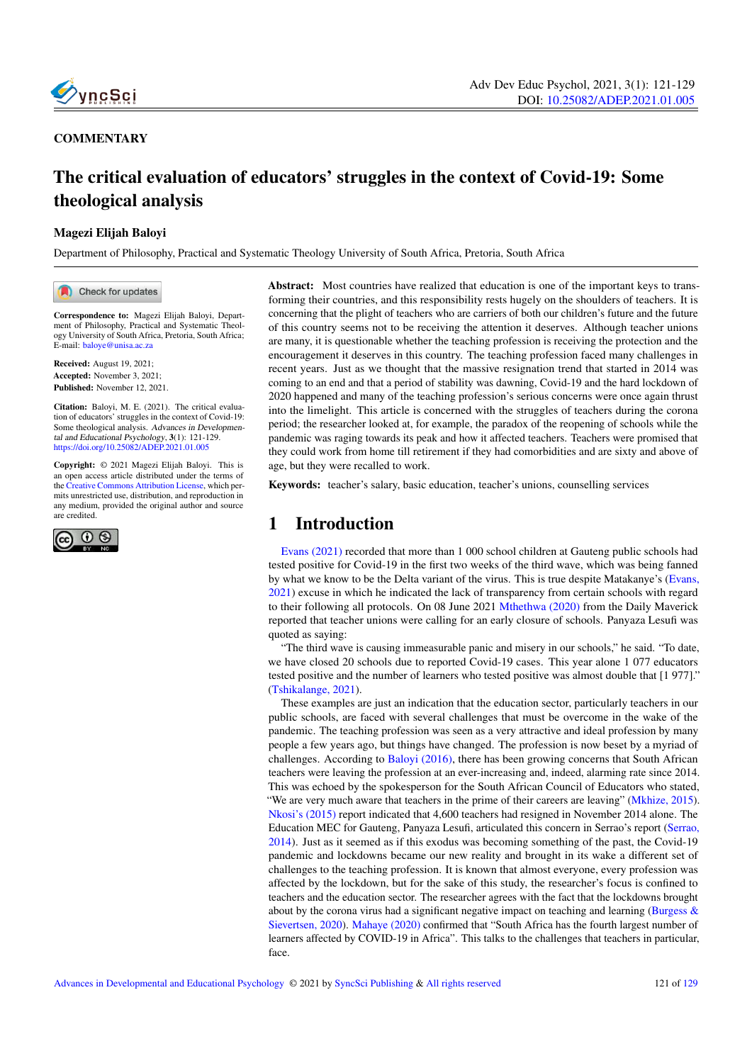

#### **COMMENTARY**

# The critical evaluation of educators' struggles in the context of Covid-19: Some theological analysis

#### Magezi Elijah Baloyi

Department of Philosophy, Practical and Systematic Theology University of South Africa, Pretoria, South Africa

Check for updates

Correspondence to: Magezi Elijah Baloyi, Department of Philosophy, Practical and Systematic Theology University of South Africa, Pretoria, South Africa; E-mail: <baloye@unisa.ac.za>

Received: August 19, 2021; Accepted: November 3, 2021; Published: November 12, 2021.

Citation: Baloyi, M. E. (2021). The critical evaluation of educators' struggles in the context of Covid-19: Some theological analysis. Advances in Developmental and Educational Psychology, 3(1): 121-129. <https://doi.org/10.25082/ADEP.2021.01.005>

Copyright: © 2021 Magezi Elijah Baloyi. This is an open access article distributed under the terms of the [Creative Commons Attribution License,](https://creativecommons.org/licenses/by/4.0/) which permits unrestricted use, distribution, and reproduction in any medium, provided the original author and source are credited.



Abstract: Most countries have realized that education is one of the important keys to transforming their countries, and this responsibility rests hugely on the shoulders of teachers. It is concerning that the plight of teachers who are carriers of both our children's future and the future of this country seems not to be receiving the attention it deserves. Although teacher unions are many, it is questionable whether the teaching profession is receiving the protection and the encouragement it deserves in this country. The teaching profession faced many challenges in recent years. Just as we thought that the massive resignation trend that started in 2014 was coming to an end and that a period of stability was dawning, Covid-19 and the hard lockdown of 2020 happened and many of the teaching profession's serious concerns were once again thrust into the limelight. This article is concerned with the struggles of teachers during the corona period; the researcher looked at, for example, the paradox of the reopening of schools while the pandemic was raging towards its peak and how it affected teachers. Teachers were promised that they could work from home till retirement if they had comorbidities and are sixty and above of age, but they were recalled to work.

Keywords: teacher's salary, basic education, teacher's unions, counselling services

### 1 Introduction

Evans (2021) recorded that more than 1 000 school children at Gauteng public schools had tested positive for Covid-19 in the first two weeks of the third wave, which was being fanned by what we know to be the Delta variant of the virus. This is true despite Matakanye's (Evans, 2021) excuse in which he indicated the lack of transparency from certain schools with regard to their following all protocols. On 08 June 2021 Mthethwa (2020) from the Daily Maverick reported that teacher unions were calling for an early closure of schools. Panyaza Lesufi was quoted as saying:

"The third wave is causing immeasurable panic and misery in our schools," he said. "To date, we have closed 20 schools due to reported Covid-19 cases. This year alone 1 077 educators tested positive and the number of learners who tested positive was almost double that [1 977]." (Tshikalange, 2021).

These examples are just an indication that the education sector, particularly teachers in our public schools, are faced with several challenges that must be overcome in the wake of the pandemic. The teaching profession was seen as a very attractive and ideal profession by many people a few years ago, but things have changed. The profession is now beset by a myriad of challenges. According to Baloyi (2016), there has been growing concerns that South African teachers were leaving the profession at an ever-increasing and, indeed, alarming rate since 2014. This was echoed by the spokesperson for the South African Council of Educators who stated, "We are very much aware that teachers in the prime of their careers are leaving" (Mkhize, 2015). Nkosi's (2015) report indicated that 4,600 teachers had resigned in November 2014 alone. The Education MEC for Gauteng, Panyaza Lesufi, articulated this concern in Serrao's report (Serrao, 2014). Just as it seemed as if this exodus was becoming something of the past, the Covid-19 pandemic and lockdowns became our new reality and brought in its wake a different set of challenges to the teaching profession. It is known that almost everyone, every profession was affected by the lockdown, but for the sake of this study, the researcher's focus is confined to teachers and the education sector. The researcher agrees with the fact that the lockdowns brought about by the corona virus had a significant negative impact on teaching and learning (Burgess  $\&$ Sievertsen, 2020). Mahaye (2020) confirmed that "South Africa has the fourth largest number of learners affected by COVID-19 in Africa". This talks to the challenges that teachers in particular, face.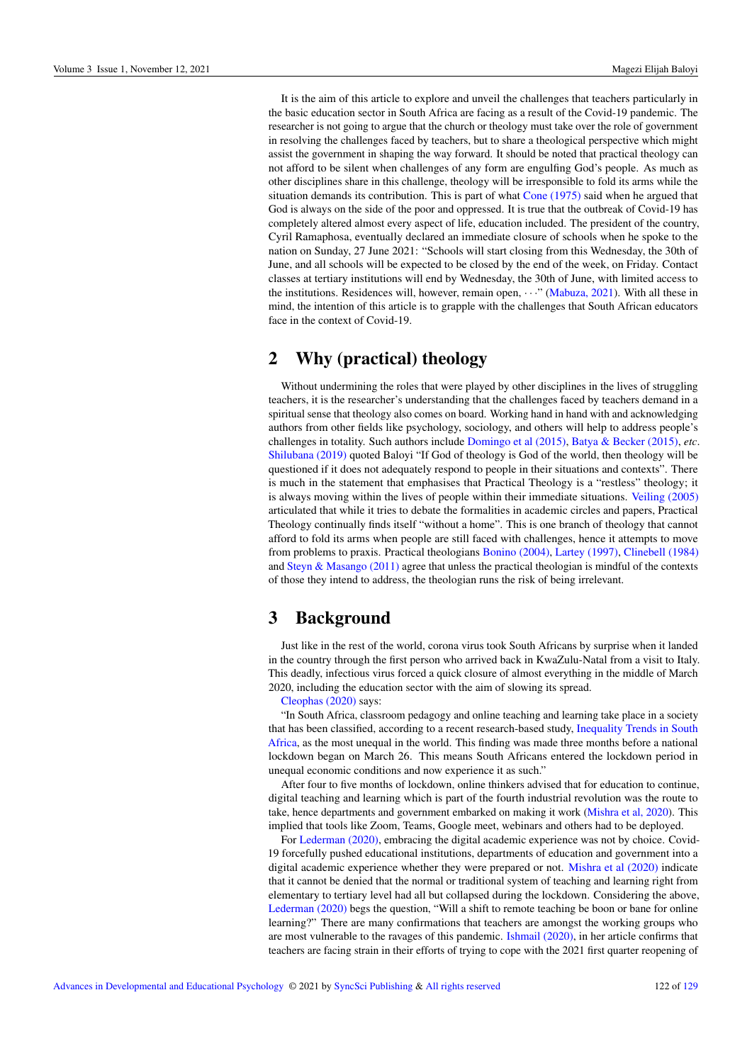It is the aim of this article to explore and unveil the challenges that teachers particularly in the basic education sector in South Africa are facing as a result of the Covid-19 pandemic. The researcher is not going to argue that the church or theology must take over the role of government in resolving the challenges faced by teachers, but to share a theological perspective which might assist the government in shaping the way forward. It should be noted that practical theology can not afford to be silent when challenges of any form are engulfing God's people. As much as other disciplines share in this challenge, theology will be irresponsible to fold its arms while the situation demands its contribution. This is part of what Cone (1975) said when he argued that God is always on the side of the poor and oppressed. It is true that the outbreak of Covid-19 has completely altered almost every aspect of life, education included. The president of the country, Cyril Ramaphosa, eventually declared an immediate closure of schools when he spoke to the nation on Sunday, 27 June 2021: "Schools will start closing from this Wednesday, the 30th of June, and all schools will be expected to be closed by the end of the week, on Friday. Contact classes at tertiary institutions will end by Wednesday, the 30th of June, with limited access to the institutions. Residences will, however, remain open,  $\cdots$  (Mabuza, 2021). With all these in mind, the intention of this article is to grapple with the challenges that South African educators face in the context of Covid-19.

### 2 Why (practical) theology

Without undermining the roles that were played by other disciplines in the lives of struggling teachers, it is the researcher's understanding that the challenges faced by teachers demand in a spiritual sense that theology also comes on board. Working hand in hand with and acknowledging authors from other fields like psychology, sociology, and others will help to address people's challenges in totality. Such authors include Domingo et al (2015), Batya & Becker (2015), *etc*. Shilubana (2019) quoted Baloyi "If God of theology is God of the world, then theology will be questioned if it does not adequately respond to people in their situations and contexts". There is much in the statement that emphasises that Practical Theology is a "restless" theology; it is always moving within the lives of people within their immediate situations. Veiling (2005) articulated that while it tries to debate the formalities in academic circles and papers, Practical Theology continually finds itself "without a home". This is one branch of theology that cannot afford to fold its arms when people are still faced with challenges, hence it attempts to move from problems to praxis. Practical theologians Bonino (2004), Lartey (1997), Clinebell (1984) and Steyn & Masango (2011) agree that unless the practical theologian is mindful of the contexts of those they intend to address, the theologian runs the risk of being irrelevant.

### 3 Background

Just like in the rest of the world, corona virus took South Africans by surprise when it landed in the country through the first person who arrived back in KwaZulu-Natal from a visit to Italy. This deadly, infectious virus forced a quick closure of almost everything in the middle of March 2020, including the education sector with the aim of slowing its spread.

Cleophas (2020) says:

"In South Africa, classroom pedagogy and online teaching and learning take place in a society that has been classified, according to a recent research-based study, [Inequality Trends in South](http://www.statssa.gov.za/publications/Report-03-10-19/Report-03-10-192017.pdf) [Africa,](http://www.statssa.gov.za/publications/Report-03-10-19/Report-03-10-192017.pdf) as the most unequal in the world. This finding was made three months before a national lockdown began on March 26. This means South Africans entered the lockdown period in unequal economic conditions and now experience it as such."

After four to five months of lockdown, online thinkers advised that for education to continue, digital teaching and learning which is part of the fourth industrial revolution was the route to take, hence departments and government embarked on making it work (Mishra et al, 2020). This implied that tools like Zoom, Teams, Google meet, webinars and others had to be deployed.

For Lederman (2020), embracing the digital academic experience was not by choice. Covid-19 forcefully pushed educational institutions, departments of education and government into a digital academic experience whether they were prepared or not. Mishra et al (2020) indicate that it cannot be denied that the normal or traditional system of teaching and learning right from elementary to tertiary level had all but collapsed during the lockdown. Considering the above, Lederman (2020) begs the question, "Will a shift to remote teaching be boon or bane for online learning?" There are many confirmations that teachers are amongst the working groups who are most vulnerable to the ravages of this pandemic. Ishmail (2020), in her article confirms that teachers are facing strain in their efforts of trying to cope with the 2021 first quarter reopening of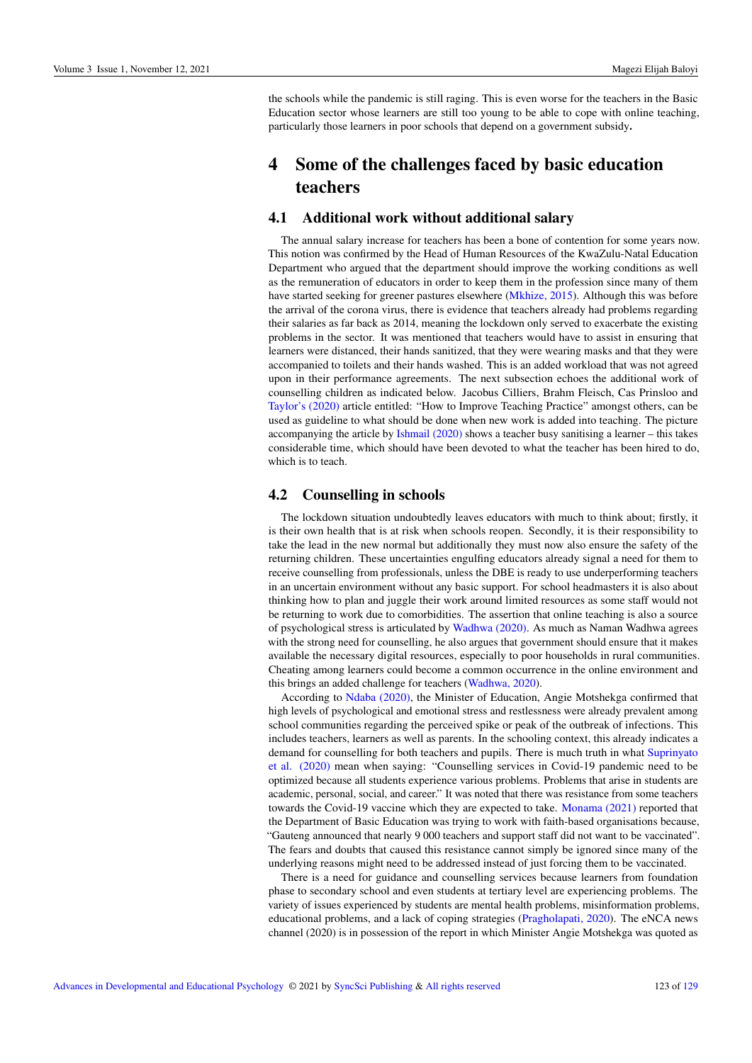the schools while the pandemic is still raging. This is even worse for the teachers in the Basic Education sector whose learners are still too young to be able to cope with online teaching, particularly those learners in poor schools that depend on a government subsidy.

## 4 Some of the challenges faced by basic education teachers

#### 4.1 Additional work without additional salary

The annual salary increase for teachers has been a bone of contention for some years now. This notion was confirmed by the Head of Human Resources of the KwaZulu-Natal Education Department who argued that the department should improve the working conditions as well as the remuneration of educators in order to keep them in the profession since many of them have started seeking for greener pastures elsewhere (Mkhize, 2015). Although this was before the arrival of the corona virus, there is evidence that teachers already had problems regarding their salaries as far back as 2014, meaning the lockdown only served to exacerbate the existing problems in the sector. It was mentioned that teachers would have to assist in ensuring that learners were distanced, their hands sanitized, that they were wearing masks and that they were accompanied to toilets and their hands washed. This is an added workload that was not agreed upon in their performance agreements. The next subsection echoes the additional work of counselling children as indicated below. Jacobus Cilliers, Brahm Fleisch, Cas Prinsloo and Taylor's (2020) article entitled: "How to Improve Teaching Practice" amongst others, can be used as guideline to what should be done when new work is added into teaching. The picture accompanying the article by Ishmail (2020) shows a teacher busy sanitising a learner – this takes considerable time, which should have been devoted to what the teacher has been hired to do, which is to teach.

#### 4.2 Counselling in schools

The lockdown situation undoubtedly leaves educators with much to think about; firstly, it is their own health that is at risk when schools reopen. Secondly, it is their responsibility to take the lead in the new normal but additionally they must now also ensure the safety of the returning children. These uncertainties engulfing educators already signal a need for them to receive counselling from professionals, unless the DBE is ready to use underperforming teachers in an uncertain environment without any basic support. For school headmasters it is also about thinking how to plan and juggle their work around limited resources as some staff would not be returning to work due to comorbidities. The assertion that online teaching is also a source of psychological stress is articulated by Wadhwa (2020). As much as Naman Wadhwa agrees with the strong need for counselling, he also argues that government should ensure that it makes available the necessary digital resources, especially to poor households in rural communities. Cheating among learners could become a common occurrence in the online environment and this brings an added challenge for teachers (Wadhwa, 2020).

According to Ndaba (2020), the Minister of Education, Angie Motshekga confirmed that high levels of psychological and emotional stress and restlessness were already prevalent among school communities regarding the perceived spike or peak of the outbreak of infections. This includes teachers, learners as well as parents. In the schooling context, this already indicates a demand for counselling for both teachers and pupils. There is much truth in what Suprinyato et al. (2020) mean when saying: "Counselling services in Covid-19 pandemic need to be optimized because all students experience various problems. Problems that arise in students are academic, personal, social, and career." It was noted that there was resistance from some teachers towards the Covid-19 vaccine which they are expected to take. Monama (2021) reported that the Department of Basic Education was trying to work with faith-based organisations because, "Gauteng announced that nearly 9 000 teachers and support staff did not want to be vaccinated". The fears and doubts that caused this resistance cannot simply be ignored since many of the underlying reasons might need to be addressed instead of just forcing them to be vaccinated.

There is a need for guidance and counselling services because learners from foundation phase to secondary school and even students at tertiary level are experiencing problems. The variety of issues experienced by students are mental health problems, misinformation problems, educational problems, and a lack of coping strategies (Pragholapati, 2020). The eNCA news channel (2020) is in possession of the report in which Minister Angie Motshekga was quoted as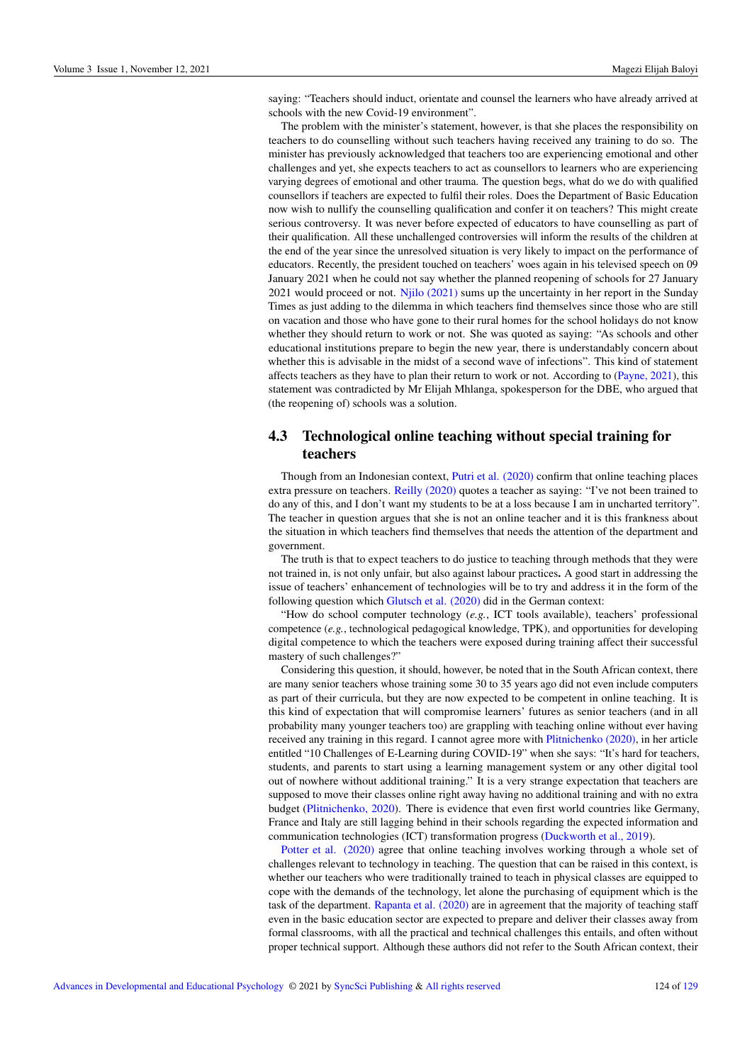saying: "Teachers should induct, orientate and counsel the learners who have already arrived at schools with the new Covid-19 environment".

The problem with the minister's statement, however, is that she places the responsibility on teachers to do counselling without such teachers having received any training to do so. The minister has previously acknowledged that teachers too are experiencing emotional and other challenges and yet, she expects teachers to act as counsellors to learners who are experiencing varying degrees of emotional and other trauma. The question begs, what do we do with qualified counsellors if teachers are expected to fulfil their roles. Does the Department of Basic Education now wish to nullify the counselling qualification and confer it on teachers? This might create serious controversy. It was never before expected of educators to have counselling as part of their qualification. All these unchallenged controversies will inform the results of the children at the end of the year since the unresolved situation is very likely to impact on the performance of educators. Recently, the president touched on teachers' woes again in his televised speech on 09 January 2021 when he could not say whether the planned reopening of schools for 27 January 2021 would proceed or not. Njilo (2021) sums up the uncertainty in her report in the Sunday Times as just adding to the dilemma in which teachers find themselves since those who are still on vacation and those who have gone to their rural homes for the school holidays do not know whether they should return to work or not. She was quoted as saying: "As schools and other educational institutions prepare to begin the new year, there is understandably concern about whether this is advisable in the midst of a second wave of infections". This kind of statement affects teachers as they have to plan their return to work or not. According to (Payne, 2021), this statement was contradicted by Mr Elijah Mhlanga, spokesperson for the DBE, who argued that (the reopening of) schools was a solution.

### 4.3 Technological online teaching without special training for teachers

Though from an Indonesian context, Putri et al. (2020) confirm that online teaching places extra pressure on teachers. Reilly (2020) quotes a teacher as saying: "I've not been trained to do any of this, and I don't want my students to be at a loss because I am in uncharted territory". The teacher in question argues that she is not an online teacher and it is this frankness about the situation in which teachers find themselves that needs the attention of the department and government.

The truth is that to expect teachers to do justice to teaching through methods that they were not trained in, is not only unfair, but also against labour practices. A good start in addressing the issue of teachers' enhancement of technologies will be to try and address it in the form of the following question which Glutsch et al. (2020) did in the German context:

"How do school computer technology (*e.g.*, ICT tools available), teachers' professional competence (*e.g.*, technological pedagogical knowledge, TPK), and opportunities for developing digital competence to which the teachers were exposed during training affect their successful mastery of such challenges?"

Considering this question, it should, however, be noted that in the South African context, there are many senior teachers whose training some 30 to 35 years ago did not even include computers as part of their curricula, but they are now expected to be competent in online teaching. It is this kind of expectation that will compromise learners' futures as senior teachers (and in all probability many younger teachers too) are grappling with teaching online without ever having received any training in this regard. I cannot agree more with Plitnichenko (2020), in her article entitled "10 Challenges of E-Learning during COVID-19" when she says: "It's hard for teachers, students, and parents to start using a learning management system or any other digital tool out of nowhere without additional training." It is a very strange expectation that teachers are supposed to move their classes online right away having no additional training and with no extra budget (Plitnichenko, 2020). There is evidence that even first world countries like Germany, France and Italy are still lagging behind in their schools regarding the expected information and communication technologies (ICT) transformation progress (Duckworth et al., 2019).

Potter et al. (2020) agree that online teaching involves working through a whole set of challenges relevant to technology in teaching. The question that can be raised in this context, is whether our teachers who were traditionally trained to teach in physical classes are equipped to cope with the demands of the technology, let alone the purchasing of equipment which is the task of the department. Rapanta et al. (2020) are in agreement that the majority of teaching staff even in the basic education sector are expected to prepare and deliver their classes away from formal classrooms, with all the practical and technical challenges this entails, and often without proper technical support. Although these authors did not refer to the South African context, their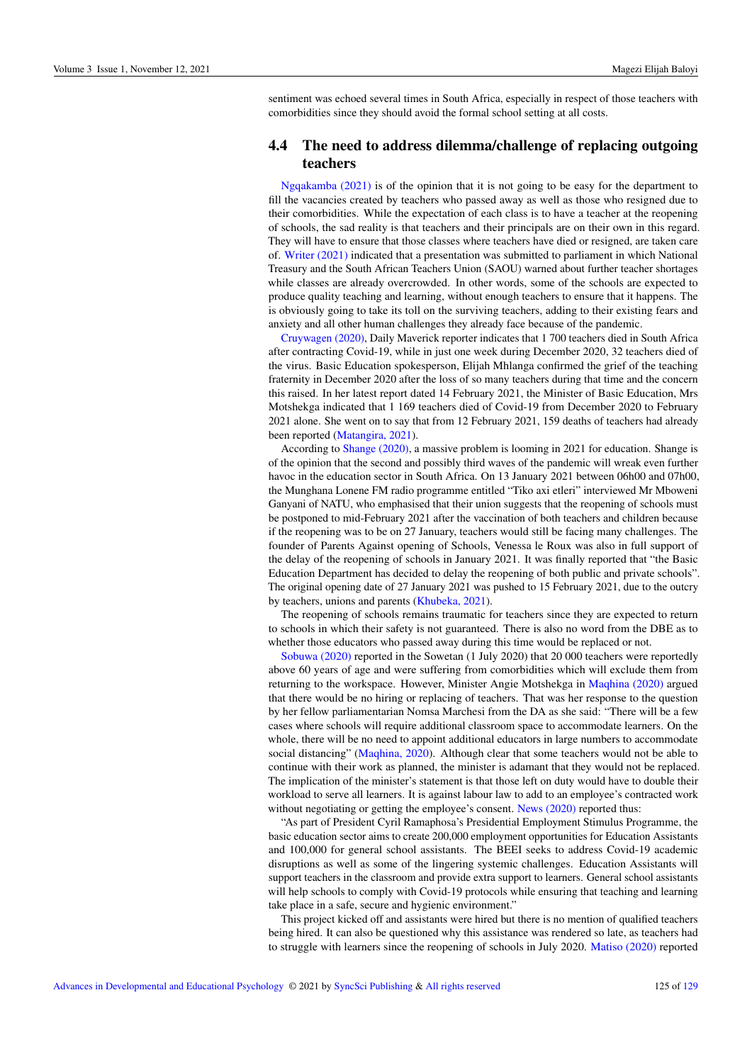sentiment was echoed several times in South Africa, especially in respect of those teachers with comorbidities since they should avoid the formal school setting at all costs.

#### 4.4 The need to address dilemma/challenge of replacing outgoing teachers

Ngqakamba (2021) is of the opinion that it is not going to be easy for the department to fill the vacancies created by teachers who passed away as well as those who resigned due to their comorbidities. While the expectation of each class is to have a teacher at the reopening of schools, the sad reality is that teachers and their principals are on their own in this regard. They will have to ensure that those classes where teachers have died or resigned, are taken care of. Writer (2021) indicated that a presentation was submitted to parliament in which National Treasury and the South African Teachers Union (SAOU) warned about further teacher shortages while classes are already overcrowded. In other words, some of the schools are expected to produce quality teaching and learning, without enough teachers to ensure that it happens. The is obviously going to take its toll on the surviving teachers, adding to their existing fears and anxiety and all other human challenges they already face because of the pandemic.

Cruywagen (2020), Daily Maverick reporter indicates that 1 700 teachers died in South Africa after contracting Covid-19, while in just one week during December 2020, 32 teachers died of the virus. Basic Education spokesperson, Elijah Mhlanga confirmed the grief of the teaching fraternity in December 2020 after the loss of so many teachers during that time and the concern this raised. In her latest report dated 14 February 2021, the Minister of Basic Education, Mrs Motshekga indicated that 1 169 teachers died of Covid-19 from December 2020 to February 2021 alone. She went on to say that from 12 February 2021, 159 deaths of teachers had already been reported (Matangira, 2021).

According to Shange (2020), a massive problem is looming in 2021 for education. Shange is of the opinion that the second and possibly third waves of the pandemic will wreak even further havoc in the education sector in South Africa. On 13 January 2021 between 06h00 and 07h00, the Munghana Lonene FM radio programme entitled "Tiko axi etleri" interviewed Mr Mboweni Ganyani of NATU, who emphasised that their union suggests that the reopening of schools must be postponed to mid-February 2021 after the vaccination of both teachers and children because if the reopening was to be on 27 January, teachers would still be facing many challenges. The founder of Parents Against opening of Schools, Venessa le Roux was also in full support of the delay of the reopening of schools in January 2021. It was finally reported that "the Basic Education Department has decided to delay the reopening of both public and private schools". The original opening date of 27 January 2021 was pushed to 15 February 2021, due to the outcry by teachers, unions and parents (Khubeka, 2021).

The reopening of schools remains traumatic for teachers since they are expected to return to schools in which their safety is not guaranteed. There is also no word from the DBE as to whether those educators who passed away during this time would be replaced or not.

Sobuwa (2020) reported in the Sowetan (1 July 2020) that 20 000 teachers were reportedly above 60 years of age and were suffering from comorbidities which will exclude them from returning to the workspace. However, Minister Angie Motshekga in Maqhina (2020) argued that there would be no hiring or replacing of teachers. That was her response to the question by her fellow parliamentarian Nomsa Marchesi from the DA as she said: "There will be a few cases where schools will require additional classroom space to accommodate learners. On the whole, there will be no need to appoint additional educators in large numbers to accommodate social distancing" (Maqhina, 2020). Although clear that some teachers would not be able to continue with their work as planned, the minister is adamant that they would not be replaced. The implication of the minister's statement is that those left on duty would have to double their workload to serve all learners. It is against labour law to add to an employee's contracted work without negotiating or getting the employee's consent. News (2020) reported thus:

"As part of President Cyril Ramaphosa's Presidential Employment Stimulus Programme, the basic education sector aims to create 200,000 employment opportunities for Education Assistants and 100,000 for general school assistants. The BEEI seeks to address Covid-19 academic disruptions as well as some of the lingering systemic challenges. Education Assistants will support teachers in the classroom and provide extra support to learners. General school assistants will help schools to comply with Covid-19 protocols while ensuring that teaching and learning take place in a safe, secure and hygienic environment."

This project kicked off and assistants were hired but there is no mention of qualified teachers being hired. It can also be questioned why this assistance was rendered so late, as teachers had to struggle with learners since the reopening of schools in July 2020. Matiso (2020) reported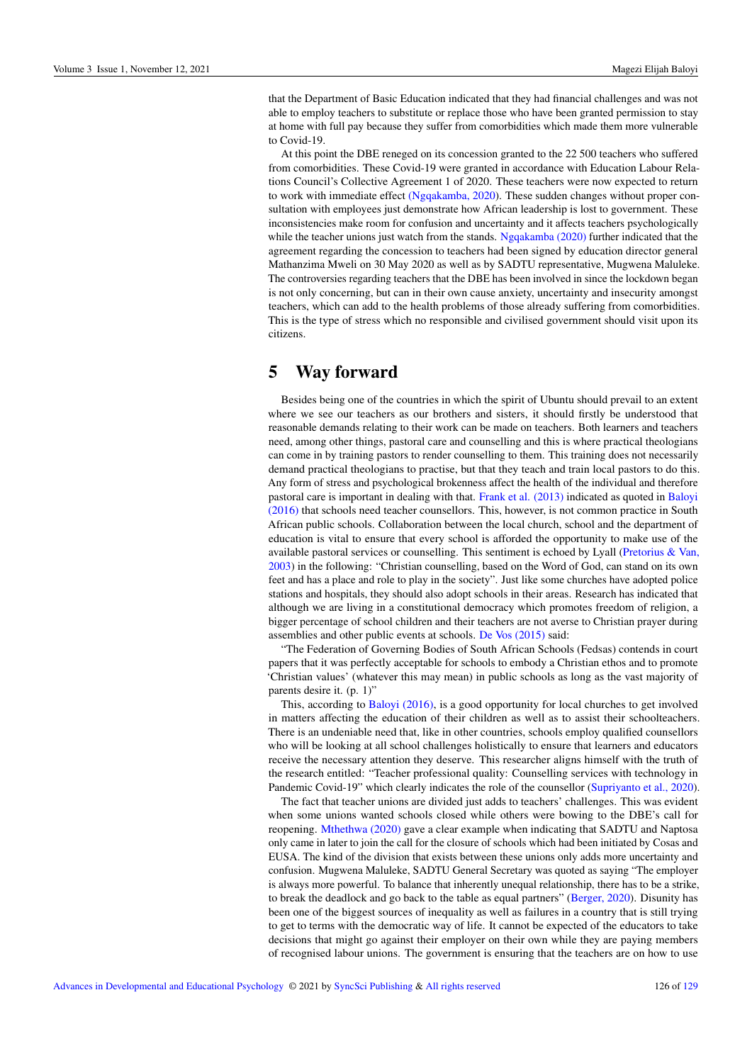that the Department of Basic Education indicated that they had financial challenges and was not able to employ teachers to substitute or replace those who have been granted permission to stay at home with full pay because they suffer from comorbidities which made them more vulnerable to Covid-19.

At this point the DBE reneged on its concession granted to the 22 500 teachers who suffered from comorbidities. These Covid-19 were granted in accordance with Education Labour Relations Council's Collective Agreement 1 of 2020. These teachers were now expected to return to work with immediate effect (Ngqakamba, 2020). These sudden changes without proper consultation with employees just demonstrate how African leadership is lost to government. These inconsistencies make room for confusion and uncertainty and it affects teachers psychologically while the teacher unions just watch from the stands. Ngqakamba (2020) further indicated that the agreement regarding the concession to teachers had been signed by education director general Mathanzima Mweli on 30 May 2020 as well as by SADTU representative, Mugwena Maluleke. The controversies regarding teachers that the DBE has been involved in since the lockdown began is not only concerning, but can in their own cause anxiety, uncertainty and insecurity amongst teachers, which can add to the health problems of those already suffering from comorbidities. This is the type of stress which no responsible and civilised government should visit upon its citizens.

### 5 Way forward

Besides being one of the countries in which the spirit of Ubuntu should prevail to an extent where we see our teachers as our brothers and sisters, it should firstly be understood that reasonable demands relating to their work can be made on teachers. Both learners and teachers need, among other things, pastoral care and counselling and this is where practical theologians can come in by training pastors to render counselling to them. This training does not necessarily demand practical theologians to practise, but that they teach and train local pastors to do this. Any form of stress and psychological brokenness affect the health of the individual and therefore pastoral care is important in dealing with that. Frank et al. (2013) indicated as quoted in Baloyi (2016) that schools need teacher counsellors. This, however, is not common practice in South African public schools. Collaboration between the local church, school and the department of education is vital to ensure that every school is afforded the opportunity to make use of the available pastoral services or counselling. This sentiment is echoed by Lyall (Pretorius & Van, 2003) in the following: "Christian counselling, based on the Word of God, can stand on its own feet and has a place and role to play in the society". Just like some churches have adopted police stations and hospitals, they should also adopt schools in their areas. Research has indicated that although we are living in a constitutional democracy which promotes freedom of religion, a bigger percentage of school children and their teachers are not averse to Christian prayer during assemblies and other public events at schools. De Vos (2015) said:

"The Federation of Governing Bodies of South African Schools (Fedsas) contends in court papers that it was perfectly acceptable for schools to embody a Christian ethos and to promote 'Christian values' (whatever this may mean) in public schools as long as the vast majority of parents desire it. (p. 1)"

This, according to Baloyi (2016), is a good opportunity for local churches to get involved in matters affecting the education of their children as well as to assist their schoolteachers. There is an undeniable need that, like in other countries, schools employ qualified counsellors who will be looking at all school challenges holistically to ensure that learners and educators receive the necessary attention they deserve. This researcher aligns himself with the truth of the research entitled: "Teacher professional quality: Counselling services with technology in Pandemic Covid-19" which clearly indicates the role of the counsellor (Supriyanto et al., 2020).

The fact that teacher unions are divided just adds to teachers' challenges. This was evident when some unions wanted schools closed while others were bowing to the DBE's call for reopening. Mthethwa (2020) gave a clear example when indicating that SADTU and Naptosa only came in later to join the call for the closure of schools which had been initiated by Cosas and EUSA. The kind of the division that exists between these unions only adds more uncertainty and confusion. Mugwena Maluleke, SADTU General Secretary was quoted as saying "The employer is always more powerful. To balance that inherently unequal relationship, there has to be a strike, to break the deadlock and go back to the table as equal partners" (Berger, 2020). Disunity has been one of the biggest sources of inequality as well as failures in a country that is still trying to get to terms with the democratic way of life. It cannot be expected of the educators to take decisions that might go against their employer on their own while they are paying members of recognised labour unions. The government is ensuring that the teachers are on how to use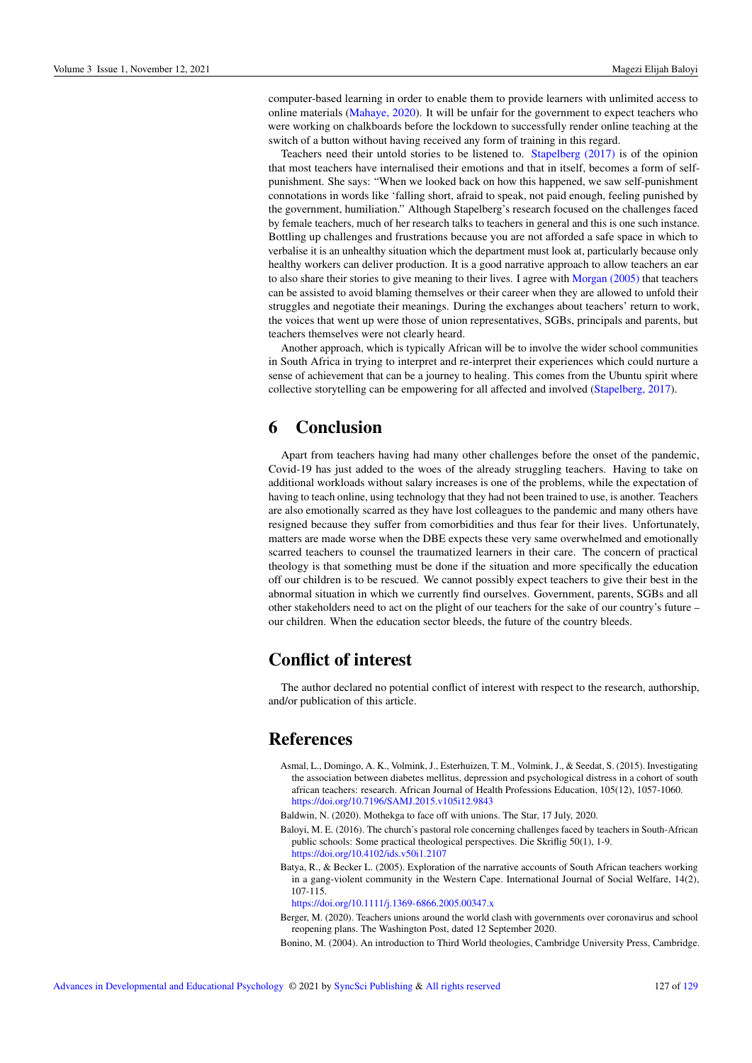computer-based learning in order to enable them to provide learners with unlimited access to online materials (Mahaye, 2020). It will be unfair for the government to expect teachers who were working on chalkboards before the lockdown to successfully render online teaching at the switch of a button without having received any form of training in this regard.

Teachers need their untold stories to be listened to. Stapelberg (2017) is of the opinion that most teachers have internalised their emotions and that in itself, becomes a form of selfpunishment. She says: "When we looked back on how this happened, we saw self-punishment connotations in words like 'falling short, afraid to speak, not paid enough, feeling punished by the government, humiliation." Although Stapelberg's research focused on the challenges faced by female teachers, much of her research talks to teachers in general and this is one such instance. Bottling up challenges and frustrations because you are not afforded a safe space in which to verbalise it is an unhealthy situation which the department must look at, particularly because only healthy workers can deliver production. It is a good narrative approach to allow teachers an ear to also share their stories to give meaning to their lives. I agree with Morgan (2005) that teachers can be assisted to avoid blaming themselves or their career when they are allowed to unfold their struggles and negotiate their meanings. During the exchanges about teachers' return to work, the voices that went up were those of union representatives, SGBs, principals and parents, but teachers themselves were not clearly heard.

Another approach, which is typically African will be to involve the wider school communities in South Africa in trying to interpret and re-interpret their experiences which could nurture a sense of achievement that can be a journey to healing. This comes from the Ubuntu spirit where collective storytelling can be empowering for all affected and involved (Stapelberg, 2017).

### 6 Conclusion

Apart from teachers having had many other challenges before the onset of the pandemic, Covid-19 has just added to the woes of the already struggling teachers. Having to take on additional workloads without salary increases is one of the problems, while the expectation of having to teach online, using technology that they had not been trained to use, is another. Teachers are also emotionally scarred as they have lost colleagues to the pandemic and many others have resigned because they suffer from comorbidities and thus fear for their lives. Unfortunately, matters are made worse when the DBE expects these very same overwhelmed and emotionally scarred teachers to counsel the traumatized learners in their care. The concern of practical theology is that something must be done if the situation and more specifically the education off our children is to be rescued. We cannot possibly expect teachers to give their best in the abnormal situation in which we currently find ourselves. Government, parents, SGBs and all other stakeholders need to act on the plight of our teachers for the sake of our country's future – our children. When the education sector bleeds, the future of the country bleeds.

### Conflict of interest

The author declared no potential conflict of interest with respect to the research, authorship, and/or publication of this article.

### **References**

- Asmal, L., Domingo, A. K., Volmink, J., Esterhuizen, T. M., Volmink, J., & Seedat, S. (2015). Investigating the association between diabetes mellitus, depression and psychological distress in a cohort of south african teachers: research. African Journal of Health Professions Education, 105(12), 1057-1060. <https://doi.org/10.7196/SAMJ.2015.v105i12.9843>
- Baldwin, N. (2020). Mothekga to face off with unions. The Star, 17 July, 2020.
- Baloyi, M. E. (2016). The church's pastoral role concerning challenges faced by teachers in South-African public schools: Some practical theological perspectives. Die Skriflig 50(1), 1-9. <https://doi.org/10.4102/ids.v50i1.2107>
- Batya, R., & Becker L. (2005). Exploration of the narrative accounts of South African teachers working in a gang-violent community in the Western Cape. International Journal of Social Welfare, 14(2), 107-115.

<https://doi.org/10.1111/j.1369-6866.2005.00347.x>

- Berger, M. (2020). Teachers unions around the world clash with governments over coronavirus and school reopening plans. The Washington Post, dated 12 September 2020.
- Bonino, M. (2004). An introduction to Third World theologies, Cambridge University Press, Cambridge.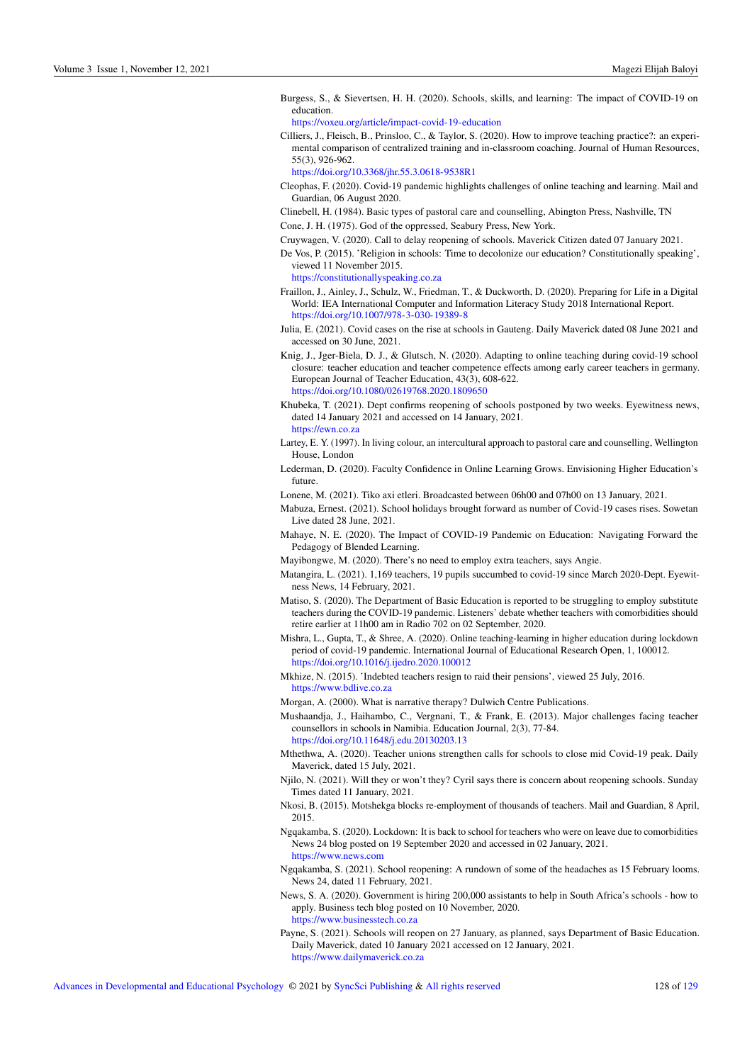Burgess, S., & Sievertsen, H. H. (2020). Schools, skills, and learning: The impact of COVID-19 on education.

<https://voxeu.org/article/impact-covid-19-education>

Cilliers, J., Fleisch, B., Prinsloo, C., & Taylor, S. (2020). How to improve teaching practice?: an experimental comparison of centralized training and in-classroom coaching. Journal of Human Resources, 55(3), 926-962.

<https://doi.org/10.3368/jhr.55.3.0618-9538R1>

- Cleophas, F. (2020). Covid-19 pandemic highlights challenges of online teaching and learning. Mail and Guardian, 06 August 2020.
- Clinebell, H. (1984). Basic types of pastoral care and counselling, Abington Press, Nashville, TN
- Cone, J. H. (1975). God of the oppressed, Seabury Press, New York.
- Cruywagen, V. (2020). Call to delay reopening of schools. Maverick Citizen dated 07 January 2021.
- De Vos, P. (2015). 'Religion in schools: Time to decolonize our education? Constitutionally speaking', viewed 11 November 2015.

<https://constitutionallyspeaking.co.za>

- Fraillon, J., Ainley, J., Schulz, W., Friedman, T., & Duckworth, D. (2020). Preparing for Life in a Digital World: IEA International Computer and Information Literacy Study 2018 International Report. <https://doi.org/10.1007/978-3-030-19389-8>
- Julia, E. (2021). Covid cases on the rise at schools in Gauteng. Daily Maverick dated 08 June 2021 and accessed on 30 June, 2021.
- Knig, J., Jger-Biela, D. J., & Glutsch, N. (2020). Adapting to online teaching during covid-19 school closure: teacher education and teacher competence effects among early career teachers in germany. European Journal of Teacher Education, 43(3), 608-622. <https://doi.org/10.1080/02619768.2020.1809650>
- Khubeka, T. (2021). Dept confirms reopening of schools postponed by two weeks. Eyewitness news, dated 14 January 2021 and accessed on 14 January, 2021. <https://ewn.co.za>
- Lartey, E. Y. (1997). In living colour, an intercultural approach to pastoral care and counselling, Wellington House, London
- Lederman, D. (2020). Faculty Confidence in Online Learning Grows. Envisioning Higher Education's future
- Lonene, M. (2021). Tiko axi etleri. Broadcasted between 06h00 and 07h00 on 13 January, 2021.
- Mabuza, Ernest. (2021). School holidays brought forward as number of Covid-19 cases rises. Sowetan Live dated 28 June, 2021.
- Mahaye, N. E. (2020). The Impact of COVID-19 Pandemic on Education: Navigating Forward the Pedagogy of Blended Learning.
- Mayibongwe, M. (2020). There's no need to employ extra teachers, says Angie.
- Matangira, L. (2021). 1,169 teachers, 19 pupils succumbed to covid-19 since March 2020-Dept. Eyewitness News, 14 February, 2021.
- Matiso, S. (2020). The Department of Basic Education is reported to be struggling to employ substitute teachers during the COVID-19 pandemic. Listeners' debate whether teachers with comorbidities should retire earlier at 11h00 am in Radio 702 on 02 September, 2020.
- Mishra, L., Gupta, T., & Shree, A. (2020). Online teaching-learning in higher education during lockdown period of covid-19 pandemic. International Journal of Educational Research Open, 1, 100012. <https://doi.org/10.1016/j.ijedro.2020.100012>
- Mkhize, N. (2015). 'Indebted teachers resign to raid their pensions', viewed 25 July, 2016. <https://www.bdlive.co.za>

Morgan, A. (2000). What is narrative therapy? Dulwich Centre Publications.

- Mushaandja, J., Haihambo, C., Vergnani, T., & Frank, E. (2013). Major challenges facing teacher counsellors in schools in Namibia. Education Journal, 2(3), 77-84. <https://doi.org/10.11648/j.edu.20130203.13>
- Mthethwa, A. (2020). Teacher unions strengthen calls for schools to close mid Covid-19 peak. Daily Maverick, dated 15 July, 2021.
- Njilo, N. (2021). Will they or won't they? Cyril says there is concern about reopening schools. Sunday Times dated 11 January, 2021.
- Nkosi, B. (2015). Motshekga blocks re-employment of thousands of teachers. Mail and Guardian, 8 April, 2015.
- Ngqakamba, S. (2020). Lockdown: It is back to school for teachers who were on leave due to comorbidities News 24 blog posted on 19 September 2020 and accessed in 02 January, 2021. <https://www.news.com>
- Ngqakamba, S. (2021). School reopening: A rundown of some of the headaches as 15 February looms. News 24, dated 11 February, 2021.
- News, S. A. (2020). Government is hiring 200,000 assistants to help in South Africa's schools how to apply. Business tech blog posted on 10 November, 2020. <https://www.businesstech.co.za>
- Payne, S. (2021). Schools will reopen on 27 January, as planned, says Department of Basic Education. Daily Maverick, dated 10 January 2021 accessed on 12 January, 2021. <https://www.dailymaverick.co.za>